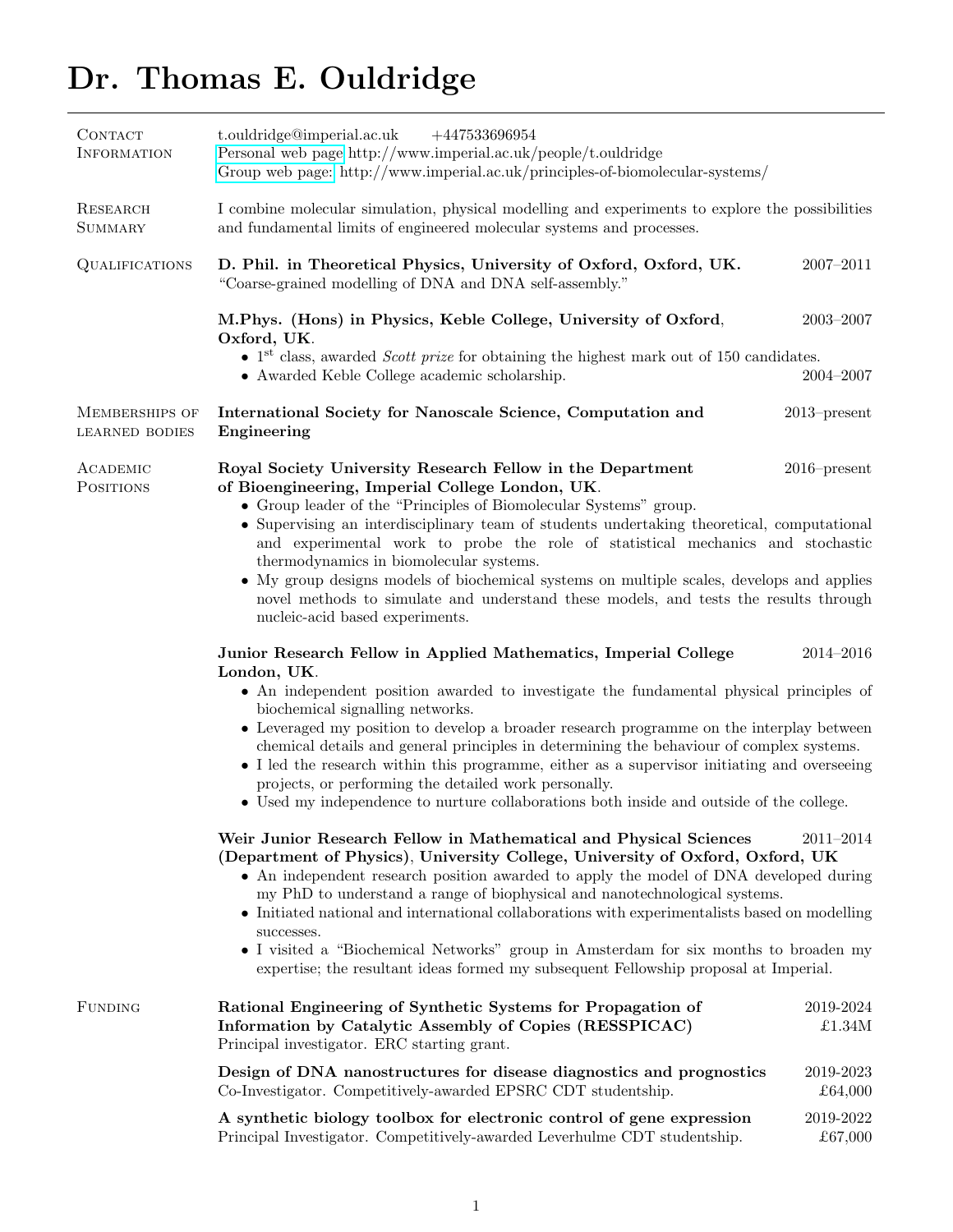# Dr. Thomas E. Ouldridge

| CONTACT<br><b>INFORMATION</b>           | t.ouldridge@imperial.ac.uk<br>$+447533696954$<br>Personal web page http://www.imperial.ac.uk/people/t.ouldridge<br>Group web page: http://www.imperial.ac.uk/principles-of-biomolecular-systems/                                                                                                                          |                      |
|-----------------------------------------|---------------------------------------------------------------------------------------------------------------------------------------------------------------------------------------------------------------------------------------------------------------------------------------------------------------------------|----------------------|
| <b>RESEARCH</b><br><b>SUMMARY</b>       | I combine molecular simulation, physical modelling and experiments to explore the possibilities<br>and fundamental limits of engineered molecular systems and processes.                                                                                                                                                  |                      |
| <b>QUALIFICATIONS</b>                   | D. Phil. in Theoretical Physics, University of Oxford, Oxford, UK.<br>"Coarse-grained modelling of DNA and DNA self-assembly."                                                                                                                                                                                            | $2007 - 2011$        |
|                                         | M.Phys. (Hons) in Physics, Keble College, University of Oxford,<br>Oxford, UK.                                                                                                                                                                                                                                            | $2003 - 2007$        |
|                                         | • 1 <sup>st</sup> class, awarded <i>Scott prize</i> for obtaining the highest mark out of 150 candidates.<br>• Awarded Keble College academic scholarship.                                                                                                                                                                | $2004 - 2007$        |
| MEMBERSHIPS OF<br><b>LEARNED BODIES</b> | International Society for Nanoscale Science, Computation and<br>Engineering                                                                                                                                                                                                                                               | $2013$ -present      |
| ACADEMIC<br><b>POSITIONS</b>            | Royal Society University Research Fellow in the Department<br>of Bioengineering, Imperial College London, UK.<br>• Group leader of the "Principles of Biomolecular Systems" group.                                                                                                                                        | $2016$ -present      |
|                                         | • Supervising an interdisciplinary team of students undertaking theoretical, computational<br>and experimental work to probe the role of statistical mechanics and stochastic<br>thermodynamics in biomolecular systems.                                                                                                  |                      |
|                                         | • My group designs models of biochemical systems on multiple scales, develops and applies<br>novel methods to simulate and understand these models, and tests the results through<br>nucleic-acid based experiments.                                                                                                      |                      |
|                                         | Junior Research Fellow in Applied Mathematics, Imperial College<br>London, UK.<br>• An independent position awarded to investigate the fundamental physical principles of                                                                                                                                                 | $2014 - 2016$        |
|                                         | biochemical signalling networks.<br>• Leveraged my position to develop a broader research programme on the interplay between                                                                                                                                                                                              |                      |
|                                         | chemical details and general principles in determining the behaviour of complex systems.<br>• I led the research within this programme, either as a supervisor initiating and overseeing<br>projects, or performing the detailed work personally.                                                                         |                      |
|                                         | • Used my independence to nurture collaborations both inside and outside of the college.                                                                                                                                                                                                                                  |                      |
|                                         | Weir Junior Research Fellow in Mathematical and Physical Sciences<br>(Department of Physics), University College, University of Oxford, Oxford, UK<br>• An independent research position awarded to apply the model of DNA developed during<br>my PhD to understand a range of biophysical and nanotechnological systems. | $2011 - 2014$        |
|                                         | • Initiated national and international collaborations with experimentalists based on modelling<br>successes.<br>• I visited a "Biochemical Networks" group in Amsterdam for six months to broaden my<br>expertise; the resultant ideas formed my subsequent Fellowship proposal at Imperial.                              |                      |
| <b>FUNDING</b>                          | Rational Engineering of Synthetic Systems for Propagation of<br>Information by Catalytic Assembly of Copies (RESSPICAC)<br>Principal investigator. ERC starting grant.                                                                                                                                                    | 2019-2024<br>£1.34M  |
|                                         | Design of DNA nanostructures for disease diagnostics and prognostics<br>Co-Investigator. Competitively-awarded EPSRC CDT studentship.                                                                                                                                                                                     | 2019-2023<br>£64,000 |
|                                         | A synthetic biology toolbox for electronic control of gene expression<br>Principal Investigator. Competitively-awarded Leverhulme CDT studentship.                                                                                                                                                                        | 2019-2022<br>£67,000 |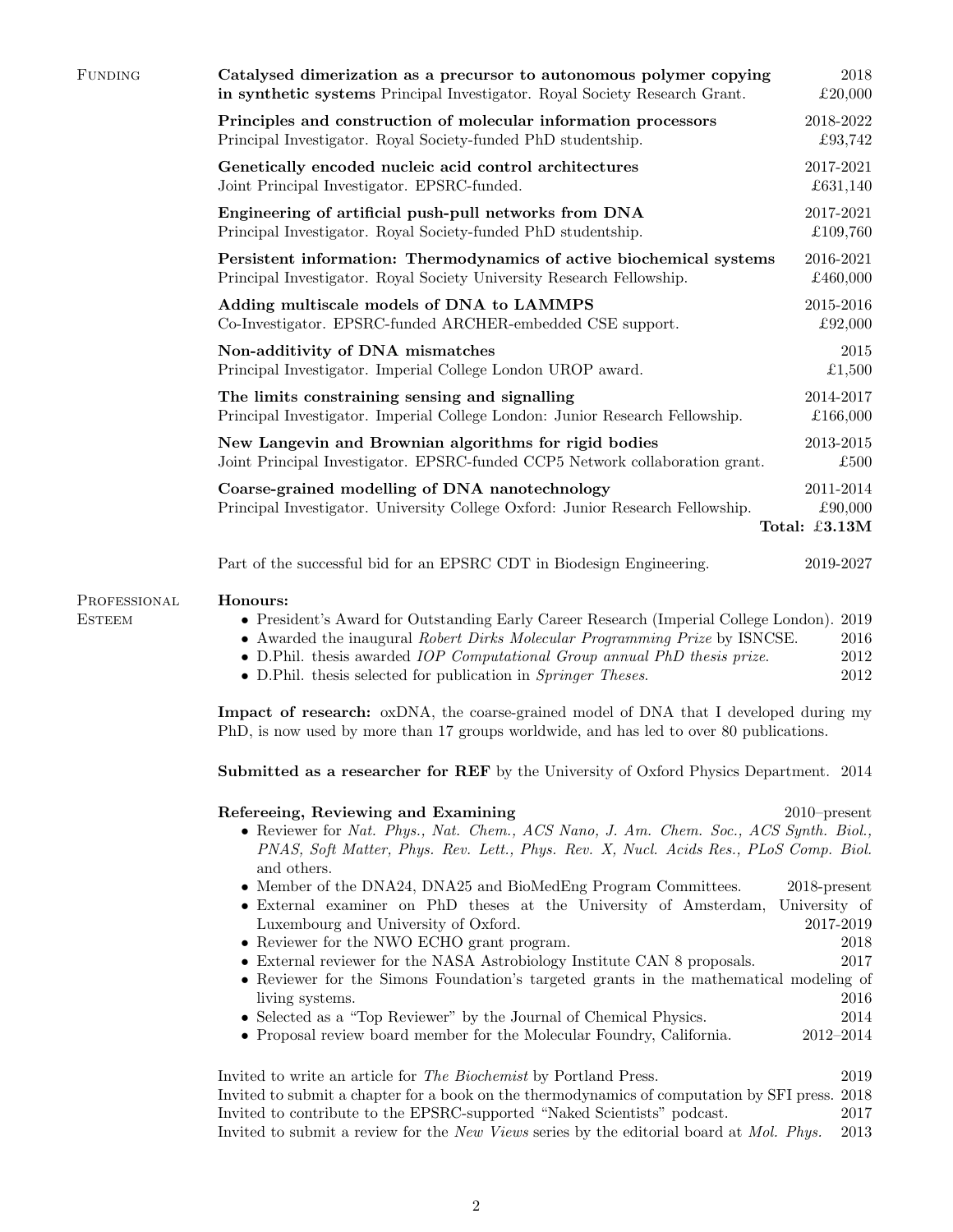| <b>PROFESSIONAL</b> | Honours:                                                                                                                                          |                       |
|---------------------|---------------------------------------------------------------------------------------------------------------------------------------------------|-----------------------|
|                     | Part of the successful bid for an EPSRC CDT in Biodesign Engineering.                                                                             | 2019-2027             |
|                     |                                                                                                                                                   | Total: £3.13M         |
|                     | Coarse-grained modelling of DNA nanotechnology<br>Principal Investigator. University College Oxford: Junior Research Fellowship.                  | 2011-2014<br>£90,000  |
|                     | New Langevin and Brownian algorithms for rigid bodies<br>Joint Principal Investigator. EPSRC-funded CCP5 Network collaboration grant.             | 2013-2015<br>£500     |
|                     | The limits constraining sensing and signalling<br>Principal Investigator. Imperial College London: Junior Research Fellowship.                    | 2014-2017<br>£166,000 |
|                     | Non-additivity of DNA mismatches<br>Principal Investigator. Imperial College London UROP award.                                                   | 2015<br>£1,500        |
|                     | Adding multiscale models of DNA to LAMMPS<br>Co-Investigator. EPSRC-funded ARCHER-embedded CSE support.                                           | 2015-2016<br>£92,000  |
|                     | Persistent information: Thermodynamics of active biochemical systems<br>Principal Investigator. Royal Society University Research Fellowship.     | 2016-2021<br>£460,000 |
|                     | Engineering of artificial push-pull networks from DNA<br>Principal Investigator. Royal Society-funded PhD studentship.                            | 2017-2021<br>£109,760 |
|                     | Genetically encoded nucleic acid control architectures<br>Joint Principal Investigator. EPSRC-funded.                                             | 2017-2021<br>£631,140 |
|                     | Principles and construction of molecular information processors<br>Principal Investigator. Royal Society-funded PhD studentship.                  | 2018-2022<br>£93,742  |
| <b>FUNDING</b>      | Catalysed dimerization as a precursor to autonomous polymer copying<br>in synthetic systems Principal Investigator. Royal Society Research Grant. | 2018<br>£20,000       |

**ESTEEM** 

#### Honours:

- President's Award for Outstanding Early Career Research (Imperial College London). 2019
- Awarded the inaugural Robert Dirks Molecular Programming Prize by ISNCSE. 2016
- D.Phil. thesis awarded *IOP Computational Group annual PhD thesis prize*. 2012
- D.Phil. thesis selected for publication in Springer Theses. 2012

Impact of research: oxDNA, the coarse-grained model of DNA that I developed during my PhD, is now used by more than 17 groups worldwide, and has led to over 80 publications.

Submitted as a researcher for REF by the University of Oxford Physics Department. 2014

| Refereeing, Reviewing and Examining<br>$2010$ -present                                         |  |
|------------------------------------------------------------------------------------------------|--|
| • Reviewer for Nat. Phys., Nat. Chem., ACS Nano, J. Am. Chem. Soc., ACS Synth. Biol.,          |  |
| PNAS, Soft Matter, Phys. Rev. Lett., Phys. Rev. X, Nucl. Acids Res., PLoS Comp. Biol.          |  |
| and others.                                                                                    |  |
| • Member of the DNA24, DNA25 and BioMedEng Program Committees.<br>$2018$ -present              |  |
| University of<br>• External examiner on PhD theses at the University of Amsterdam,             |  |
| 2017-2019<br>Luxembourg and University of Oxford.                                              |  |
| • Reviewer for the NWO ECHO grant program.<br>2018                                             |  |
| • External reviewer for the NASA Astrobiology Institute CAN 8 proposals.<br>2017               |  |
| • Reviewer for the Simons Foundation's targeted grants in the mathematical modeling of         |  |
| 2016<br>living systems.                                                                        |  |
| • Selected as a "Top Reviewer" by the Journal of Chemical Physics.<br>2014                     |  |
| • Proposal review board member for the Molecular Foundry, California.<br>2012-2014             |  |
|                                                                                                |  |
| Invited to write an article for The Biochemist by Portland Press.<br>2019                      |  |
| Invited to submit a chapter for a book on the thermodynamics of computation by SFI press. 2018 |  |

Invited to submit a chapter for a book on the thermodynamics of computation by SFI press. 2018 Invited to contribute to the EPSRC-supported "Naked Scientists" podcast. 2017 Invited to submit a review for the New Views series by the editorial board at Mol. Phys. 2013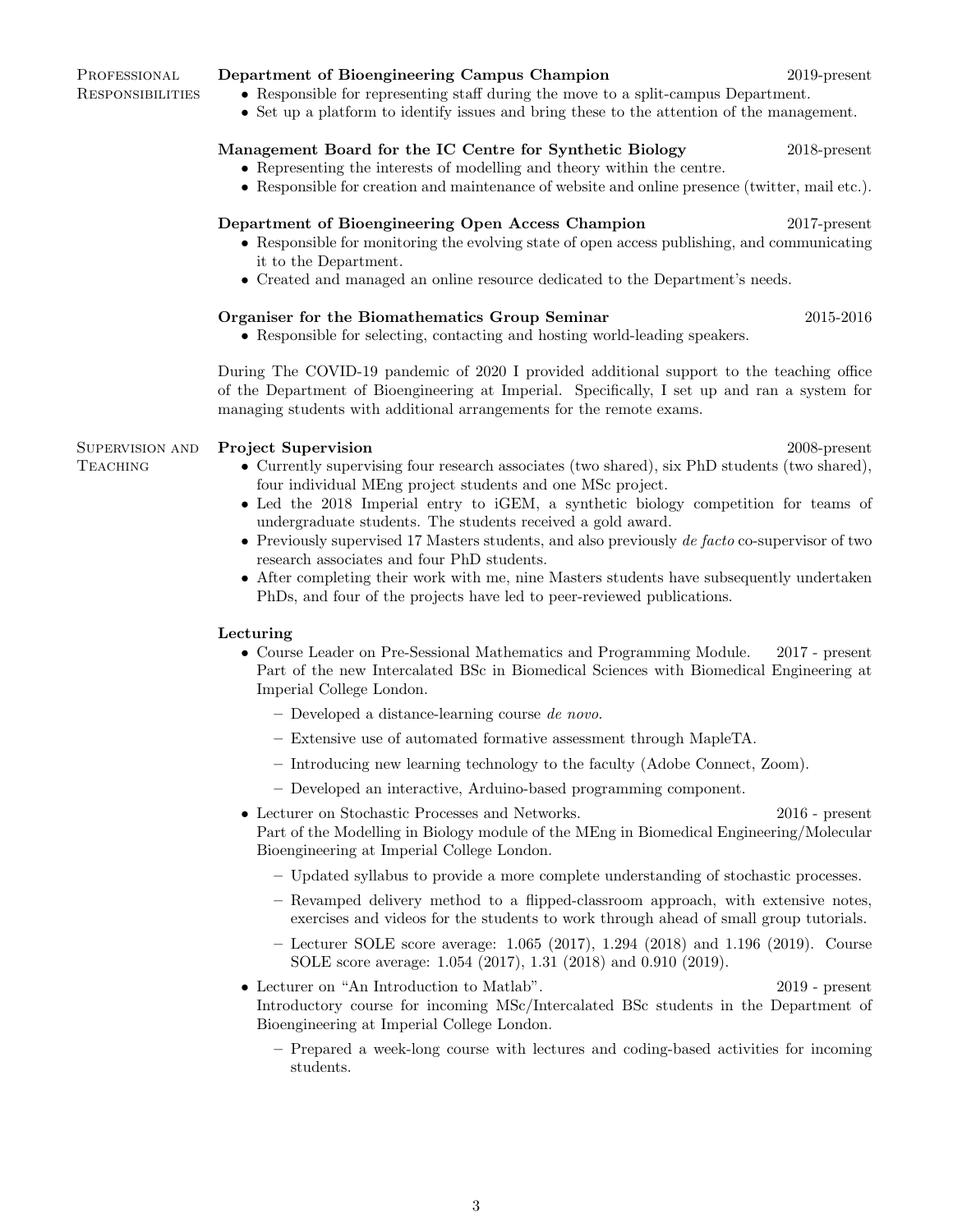#### Department of Bioengineering Campus Champion 2019-present

- Responsible for representing staff during the move to a split-campus Department.
- Set up a platform to identify issues and bring these to the attention of the management.

## Management Board for the IC Centre for Synthetic Biology 2018-present

- Representing the interests of modelling and theory within the centre.
- Responsible for creation and maintenance of website and online presence (twitter, mail etc.).

#### Department of Bioengineering Open Access Champion 2017-present

- Responsible for monitoring the evolving state of open access publishing, and communicating it to the Department.
- Created and managed an online resource dedicated to the Department's needs.

### Organiser for the Biomathematics Group Seminar 2015-2016

• Responsible for selecting, contacting and hosting world-leading speakers.

During The COVID-19 pandemic of 2020 I provided additional support to the teaching office of the Department of Bioengineering at Imperial. Specifically, I set up and ran a system for managing students with additional arrangements for the remote exams.

#### Supervision and Project Supervision 2008-present

- Currently supervising four research associates (two shared), six PhD students (two shared), four individual MEng project students and one MSc project.
- Led the 2018 Imperial entry to iGEM, a synthetic biology competition for teams of undergraduate students. The students received a gold award.
- Previously supervised 17 Masters students, and also previously de facto co-supervisor of two research associates and four PhD students.
- After completing their work with me, nine Masters students have subsequently undertaken PhDs, and four of the projects have led to peer-reviewed publications.

#### Lecturing

- Course Leader on Pre-Sessional Mathematics and Programming Module. 2017 present Part of the new Intercalated BSc in Biomedical Sciences with Biomedical Engineering at Imperial College London.
	- Developed a distance-learning course de novo.
	- Extensive use of automated formative assessment through MapleTA.
	- Introducing new learning technology to the faculty (Adobe Connect, Zoom).
	- Developed an interactive, Arduino-based programming component.
- Lecturer on Stochastic Processes and Networks. 2016 present Part of the Modelling in Biology module of the MEng in Biomedical Engineering/Molecular Bioengineering at Imperial College London.
	- Updated syllabus to provide a more complete understanding of stochastic processes.
	- Revamped delivery method to a flipped-classroom approach, with extensive notes, exercises and videos for the students to work through ahead of small group tutorials.
	- Lecturer SOLE score average: 1.065 (2017), 1.294 (2018) and 1.196 (2019). Course SOLE score average: 1.054 (2017), 1.31 (2018) and 0.910 (2019).
- Lecturer on "An Introduction to Matlab". 2019 present Introductory course for incoming MSc/Intercalated BSc students in the Department of Bioengineering at Imperial College London.
	- Prepared a week-long course with lectures and coding-based activities for incoming students.

#### PROFESSIONAL **RESPONSIBILITIES**

**TEACHING**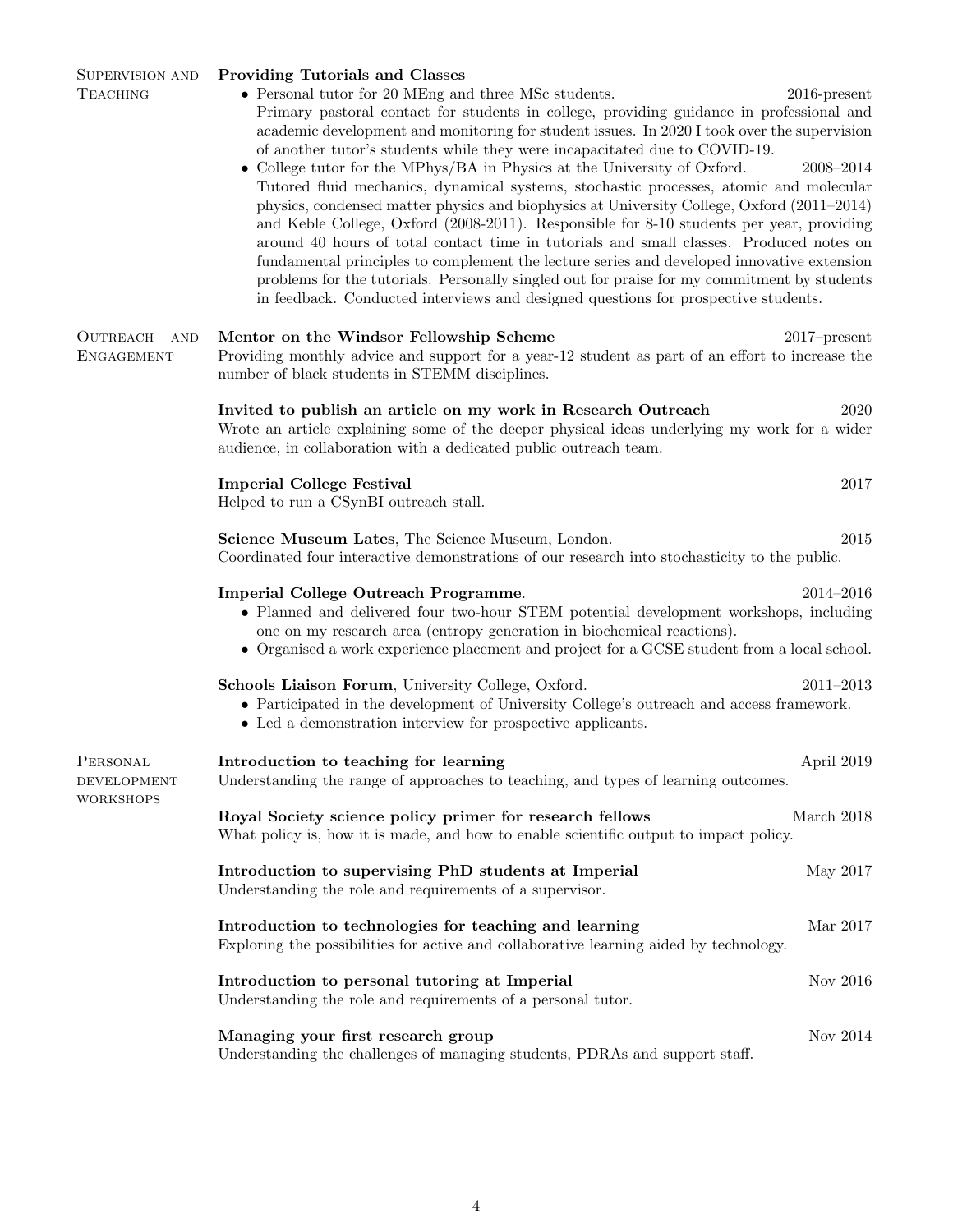| <b>SUPERVISION AND</b><br><b>TEACHING</b>          | <b>Providing Tutorials and Classes</b><br>$\bullet$ Personal tutor for 20 MEng and three MSc students.<br>Primary pastoral contact for students in college, providing guidance in professional and<br>academic development and monitoring for student issues. In 2020 I took over the supervision<br>of another tutor's students while they were incapacitated due to COVID-19.<br>• College tutor for the MPhys/BA in Physics at the University of Oxford.<br>Tutored fluid mechanics, dynamical systems, stochastic processes, atomic and molecular<br>physics, condensed matter physics and biophysics at University College, Oxford (2011–2014)<br>and Keble College, Oxford (2008-2011). Responsible for 8-10 students per year, providing<br>around 40 hours of total contact time in tutorials and small classes. Produced notes on<br>fundamental principles to complement the lecture series and developed innovative extension<br>problems for the tutorials. Personally singled out for praise for my commitment by students<br>in feedback. Conducted interviews and designed questions for prospective students. | $2016$ -present<br>$2008 - 2014$ |
|----------------------------------------------------|-------------------------------------------------------------------------------------------------------------------------------------------------------------------------------------------------------------------------------------------------------------------------------------------------------------------------------------------------------------------------------------------------------------------------------------------------------------------------------------------------------------------------------------------------------------------------------------------------------------------------------------------------------------------------------------------------------------------------------------------------------------------------------------------------------------------------------------------------------------------------------------------------------------------------------------------------------------------------------------------------------------------------------------------------------------------------------------------------------------------------------|----------------------------------|
| OUTREACH<br>AND<br><b>ENGAGEMENT</b>               | Mentor on the Windsor Fellowship Scheme<br>Providing monthly advice and support for a year-12 student as part of an effort to increase the<br>number of black students in STEMM disciplines.                                                                                                                                                                                                                                                                                                                                                                                                                                                                                                                                                                                                                                                                                                                                                                                                                                                                                                                                  | $2017$ -present                  |
|                                                    | Invited to publish an article on my work in Research Outreach<br>Wrote an article explaining some of the deeper physical ideas underlying my work for a wider<br>audience, in collaboration with a dedicated public outreach team.                                                                                                                                                                                                                                                                                                                                                                                                                                                                                                                                                                                                                                                                                                                                                                                                                                                                                            | 2020                             |
|                                                    | <b>Imperial College Festival</b><br>Helped to run a CSynBI outreach stall.                                                                                                                                                                                                                                                                                                                                                                                                                                                                                                                                                                                                                                                                                                                                                                                                                                                                                                                                                                                                                                                    | 2017                             |
|                                                    | Science Museum Lates, The Science Museum, London.<br>Coordinated four interactive demonstrations of our research into stochasticity to the public.                                                                                                                                                                                                                                                                                                                                                                                                                                                                                                                                                                                                                                                                                                                                                                                                                                                                                                                                                                            | 2015                             |
|                                                    | Imperial College Outreach Programme.<br>• Planned and delivered four two-hour STEM potential development workshops, including<br>one on my research area (entropy generation in biochemical reactions).<br>• Organised a work experience placement and project for a GCSE student from a local school.                                                                                                                                                                                                                                                                                                                                                                                                                                                                                                                                                                                                                                                                                                                                                                                                                        | $2014 - 2016$                    |
|                                                    | Schools Liaison Forum, University College, Oxford.<br>• Participated in the development of University College's outreach and access framework.<br>• Led a demonstration interview for prospective applicants.                                                                                                                                                                                                                                                                                                                                                                                                                                                                                                                                                                                                                                                                                                                                                                                                                                                                                                                 | $2011 - 2013$                    |
| PERSONAL<br><b>DEVELOPMENT</b><br><b>WORKSHOPS</b> | Introduction to teaching for learning<br>Understanding the range of approaches to teaching, and types of learning outcomes.                                                                                                                                                                                                                                                                                                                                                                                                                                                                                                                                                                                                                                                                                                                                                                                                                                                                                                                                                                                                   | April 2019                       |
|                                                    | Royal Society science policy primer for research fellows<br>What policy is, how it is made, and how to enable scientific output to impact policy.                                                                                                                                                                                                                                                                                                                                                                                                                                                                                                                                                                                                                                                                                                                                                                                                                                                                                                                                                                             | March 2018                       |
|                                                    | Introduction to supervising PhD students at Imperial<br>Understanding the role and requirements of a supervisor.                                                                                                                                                                                                                                                                                                                                                                                                                                                                                                                                                                                                                                                                                                                                                                                                                                                                                                                                                                                                              | May 2017                         |
|                                                    | Introduction to technologies for teaching and learning<br>Exploring the possibilities for active and collaborative learning aided by technology.                                                                                                                                                                                                                                                                                                                                                                                                                                                                                                                                                                                                                                                                                                                                                                                                                                                                                                                                                                              | Mar 2017                         |
|                                                    | Introduction to personal tutoring at Imperial<br>Understanding the role and requirements of a personal tutor.                                                                                                                                                                                                                                                                                                                                                                                                                                                                                                                                                                                                                                                                                                                                                                                                                                                                                                                                                                                                                 | Nov 2016                         |
|                                                    | Managing your first research group<br>Understanding the challenges of managing students, PDRAs and support staff.                                                                                                                                                                                                                                                                                                                                                                                                                                                                                                                                                                                                                                                                                                                                                                                                                                                                                                                                                                                                             | Nov 2014                         |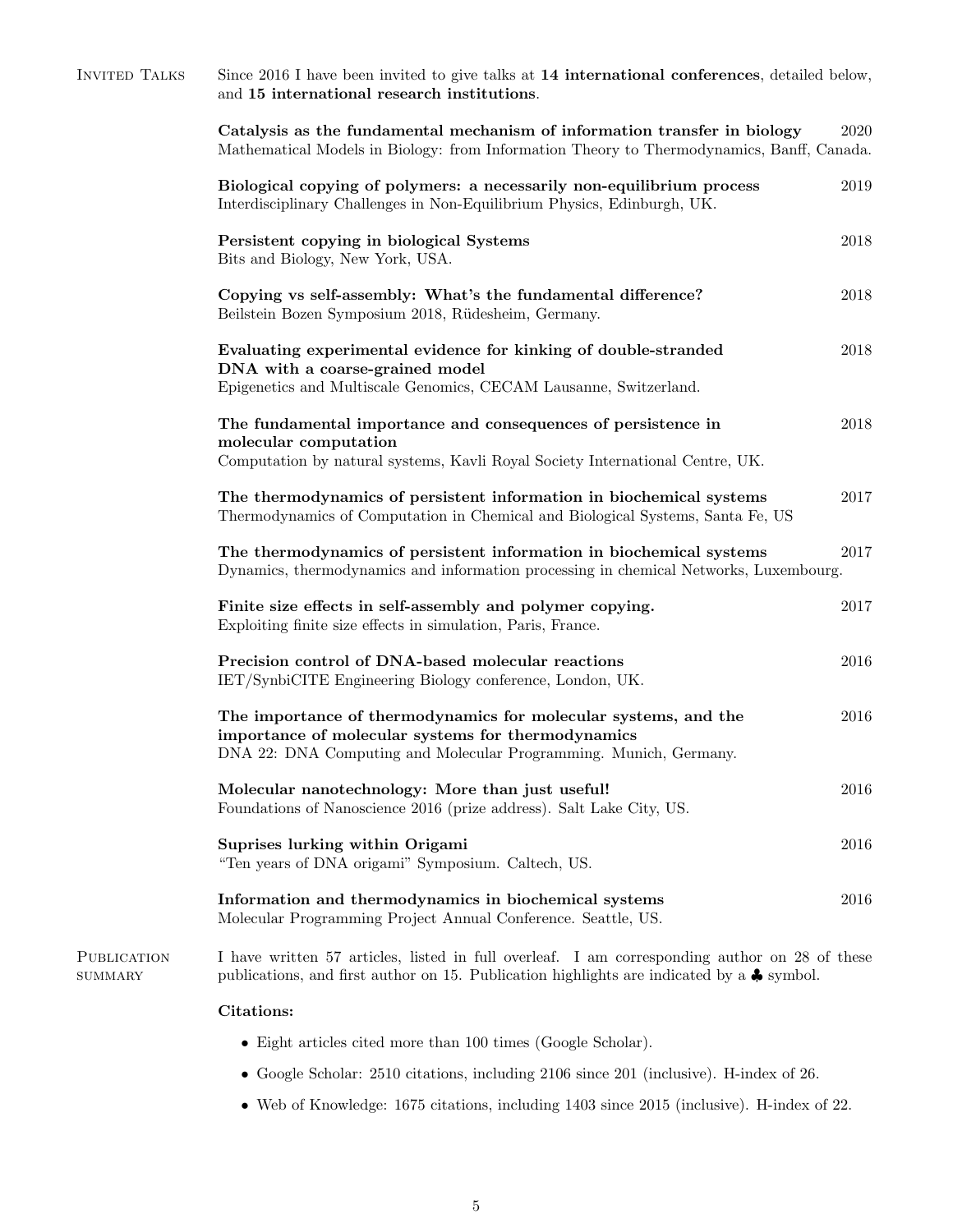| <b>INVITED TALKS</b>                 | Since 2016 I have been invited to give talks at 14 international conferences, detailed below,<br>and 15 international research institutions.                                                         |      |  |
|--------------------------------------|------------------------------------------------------------------------------------------------------------------------------------------------------------------------------------------------------|------|--|
|                                      | Catalysis as the fundamental mechanism of information transfer in biology<br>Mathematical Models in Biology: from Information Theory to Thermodynamics, Banff, Canada.                               | 2020 |  |
|                                      | Biological copying of polymers: a necessarily non-equilibrium process<br>Interdisciplinary Challenges in Non-Equilibrium Physics, Edinburgh, UK.                                                     | 2019 |  |
|                                      | Persistent copying in biological Systems<br>Bits and Biology, New York, USA.                                                                                                                         | 2018 |  |
|                                      | Copying vs self-assembly: What's the fundamental difference?<br>Beilstein Bozen Symposium 2018, Rüdesheim, Germany.                                                                                  | 2018 |  |
|                                      | Evaluating experimental evidence for kinking of double-stranded<br>DNA with a coarse-grained model<br>Epigenetics and Multiscale Genomics, CECAM Lausanne, Switzerland.                              | 2018 |  |
|                                      | The fundamental importance and consequences of persistence in<br>molecular computation<br>Computation by natural systems, Kavli Royal Society International Centre, UK.                              | 2018 |  |
|                                      | The thermodynamics of persistent information in biochemical systems<br>Thermodynamics of Computation in Chemical and Biological Systems, Santa Fe, US                                                | 2017 |  |
|                                      | The thermodynamics of persistent information in biochemical systems<br>Dynamics, thermodynamics and information processing in chemical Networks, Luxembourg.                                         | 2017 |  |
|                                      | Finite size effects in self-assembly and polymer copying.<br>Exploiting finite size effects in simulation, Paris, France.                                                                            | 2017 |  |
|                                      | Precision control of DNA-based molecular reactions<br>IET/SynbiCITE Engineering Biology conference, London, UK.                                                                                      | 2016 |  |
|                                      | The importance of thermodynamics for molecular systems, and the<br>importance of molecular systems for thermodynamics<br>DNA 22: DNA Computing and Molecular Programming. Munich, Germany.           | 2016 |  |
|                                      | Molecular nanotechnology: More than just useful!<br>Foundations of Nanoscience 2016 (prize address). Salt Lake City, US.                                                                             | 2016 |  |
|                                      | Suprises lurking within Origami<br>"Ten years of DNA origami" Symposium. Caltech, US.                                                                                                                | 2016 |  |
|                                      | Information and thermodynamics in biochemical systems<br>Molecular Programming Project Annual Conference. Seattle, US.                                                                               | 2016 |  |
| <b>PUBLICATION</b><br><b>SUMMARY</b> | I have written 57 articles, listed in full overleaf. I am corresponding author on 28 of these<br>publications, and first author on 15. Publication highlights are indicated by a $\clubsuit$ symbol. |      |  |
|                                      | <b>Citations:</b>                                                                                                                                                                                    |      |  |
|                                      | $\bullet$ Eight articles cited more than 100 times (Google Scholar).                                                                                                                                 |      |  |
|                                      |                                                                                                                                                                                                      |      |  |

- $\bullet$  Google Scholar: 2510 citations, including 2106 since 201 (inclusive). H-index of 26.
- Web of Knowledge: 1675 citations, including 1403 since 2015 (inclusive). H-index of 22.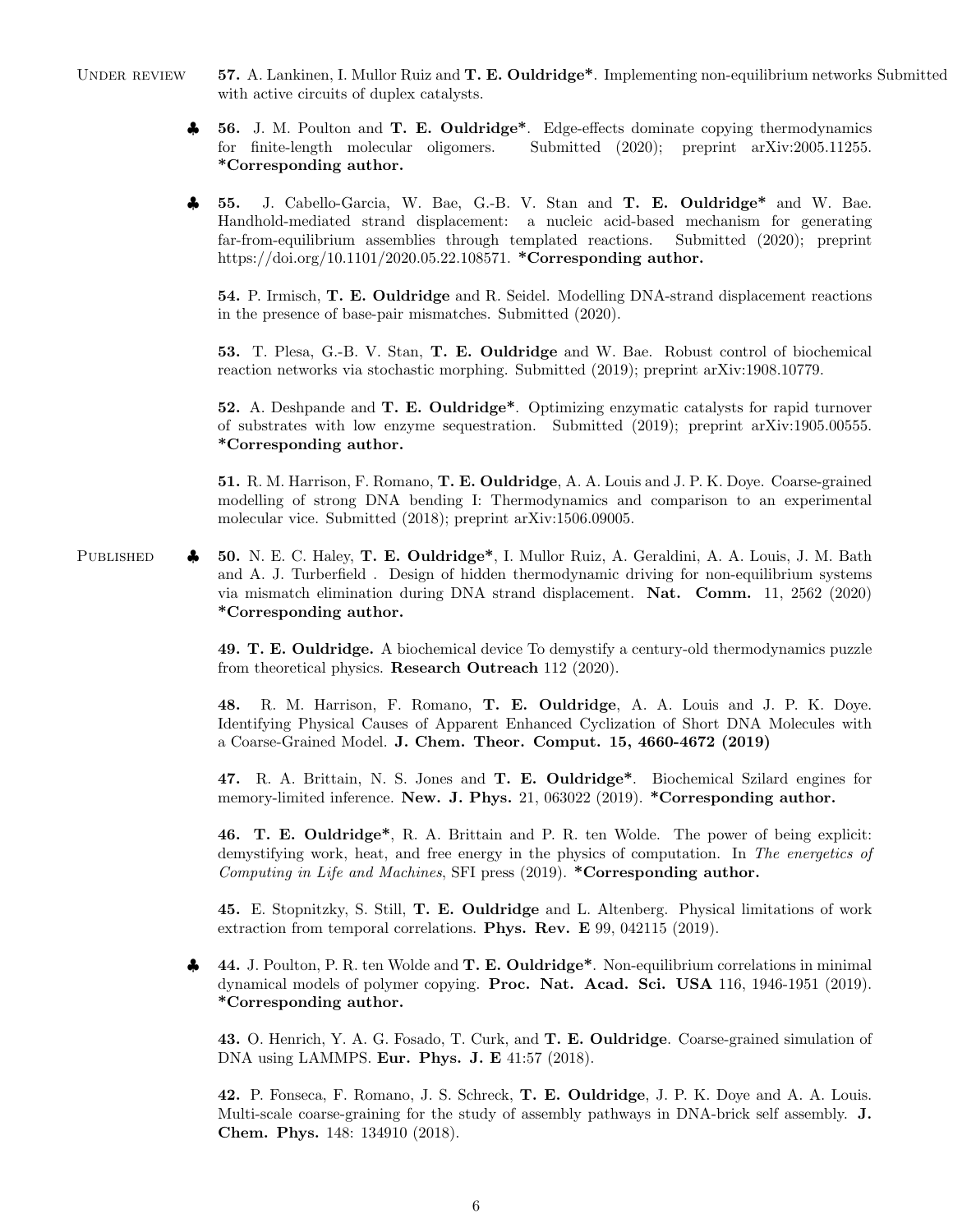- UNDER REVIEW 57. A. Lankinen, I. Mullor Ruiz and T. E. Ouldridge<sup>\*</sup>. Implementing non-equilibrium networks Submitted with active circuits of duplex catalysts.
	- ♣ 56. J. M. Poulton and T. E. Ouldridge\*. Edge-effects dominate copying thermodynamics for finite-length molecular oligomers. Submitted (2020); preprint arXiv:2005.11255. \*Corresponding author.
	- ♣ 55. J. Cabello-Garcia, W. Bae, G.-B. V. Stan and T. E. Ouldridge\* and W. Bae. Handhold-mediated strand displacement: a nucleic acid-based mechanism for generating far-from-equilibrium assemblies through templated reactions. Submitted (2020); preprint https://doi.org/10.1101/2020.05.22.108571. \*Corresponding author.

54. P. Irmisch, T. E. Ouldridge and R. Seidel. Modelling DNA-strand displacement reactions in the presence of base-pair mismatches. Submitted (2020).

53. T. Plesa, G.-B. V. Stan, T. E. Ouldridge and W. Bae. Robust control of biochemical reaction networks via stochastic morphing. Submitted (2019); preprint arXiv:1908.10779.

52. A. Deshpande and T. E. Ouldridge\*. Optimizing enzymatic catalysts for rapid turnover of substrates with low enzyme sequestration. Submitted (2019); preprint arXiv:1905.00555. \*Corresponding author.

51. R. M. Harrison, F. Romano, T. E. Ouldridge, A. A. Louis and J. P. K. Doye. Coarse-grained modelling of strong DNA bending I: Thermodynamics and comparison to an experimental molecular vice. Submitted (2018); preprint arXiv:1506.09005.

PUBLISHED  $\clubsuit$  50. N. E. C. Haley, T. E. Ouldridge<sup>\*</sup>, I. Mullor Ruiz, A. Geraldini, A. A. Louis, J. M. Bath and A. J. Turberfield . Design of hidden thermodynamic driving for non-equilibrium systems via mismatch elimination during DNA strand displacement. Nat. Comm. 11, 2562 (2020) \*Corresponding author.

> 49. T. E. Ouldridge. A biochemical device To demystify a century-old thermodynamics puzzle from theoretical physics. Research Outreach 112 (2020).

> 48. R. M. Harrison, F. Romano, T. E. Ouldridge, A. A. Louis and J. P. K. Doye. Identifying Physical Causes of Apparent Enhanced Cyclization of Short DNA Molecules with a Coarse-Grained Model. J. Chem. Theor. Comput. 15, 4660-4672 (2019)

> 47. R. A. Brittain, N. S. Jones and T. E. Ouldridge\*. Biochemical Szilard engines for memory-limited inference. New. J. Phys. 21, 063022 (2019). \*Corresponding author.

> 46. T. E. Ouldridge\*, R. A. Brittain and P. R. ten Wolde. The power of being explicit: demystifying work, heat, and free energy in the physics of computation. In The energetics of Computing in Life and Machines, SFI press (2019). \*Corresponding author.

> 45. E. Stopnitzky, S. Still, T. E. Ouldridge and L. Altenberg. Physical limitations of work extraction from temporal correlations. Phys. Rev. E 99, 042115 (2019).

♣ 44. J. Poulton, P. R. ten Wolde and T. E. Ouldridge\*. Non-equilibrium correlations in minimal dynamical models of polymer copying. Proc. Nat. Acad. Sci. USA 116, 1946-1951 (2019). \*Corresponding author.

43. O. Henrich, Y. A. G. Fosado, T. Curk, and T. E. Ouldridge. Coarse-grained simulation of DNA using LAMMPS. Eur. Phys. J. E 41:57 (2018).

42. P. Fonseca, F. Romano, J. S. Schreck, T. E. Ouldridge, J. P. K. Doye and A. A. Louis. Multi-scale coarse-graining for the study of assembly pathways in DNA-brick self assembly. J. Chem. Phys. 148: 134910 (2018).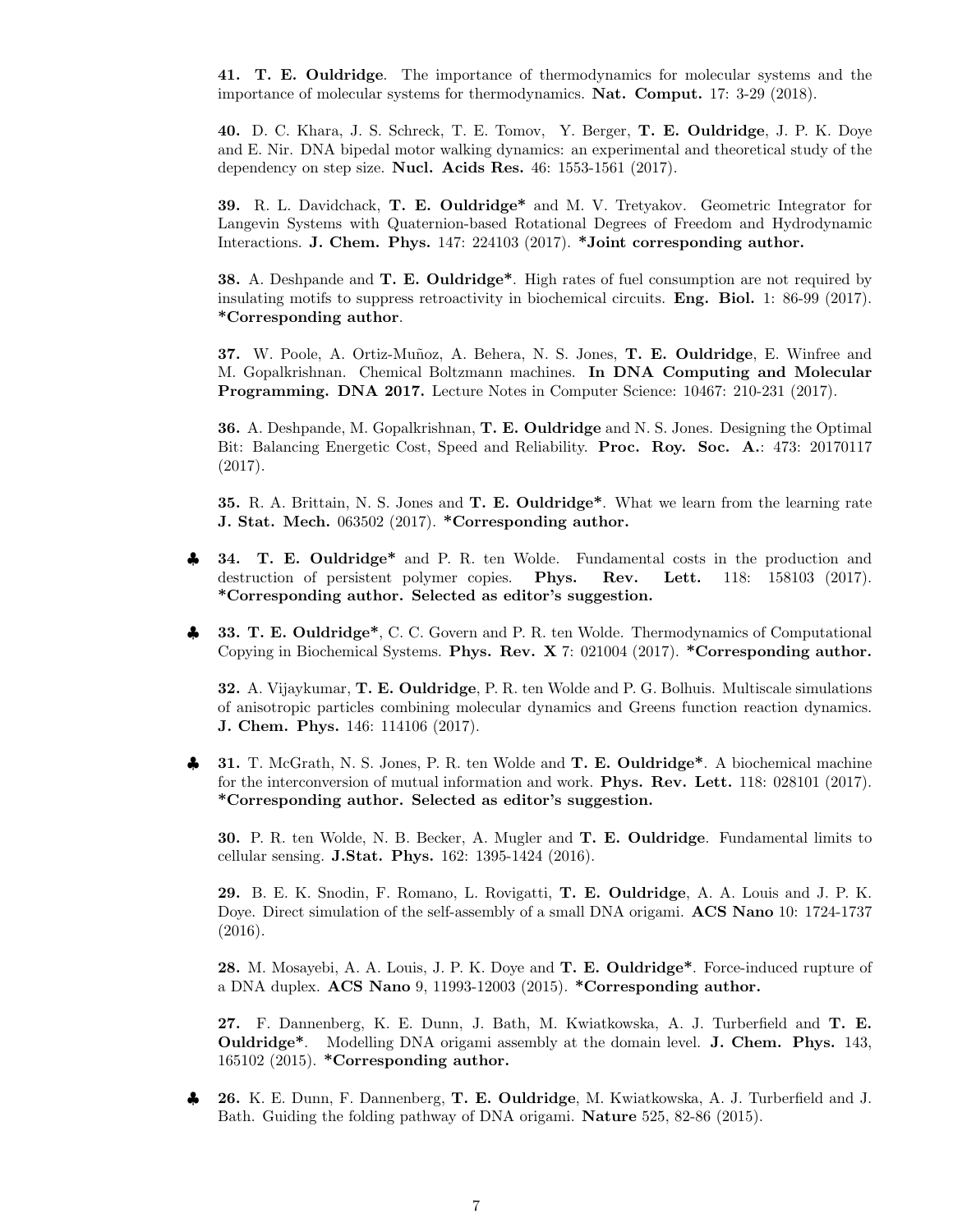41. T. E. Ouldridge. The importance of thermodynamics for molecular systems and the importance of molecular systems for thermodynamics. Nat. Comput. 17: 3-29 (2018).

40. D. C. Khara, J. S. Schreck, T. E. Tomov, Y. Berger, T. E. Ouldridge, J. P. K. Doye and E. Nir. DNA bipedal motor walking dynamics: an experimental and theoretical study of the dependency on step size. Nucl. Acids Res. 46: 1553-1561 (2017).

39. R. L. Davidchack, T. E. Ouldridge\* and M. V. Tretyakov. Geometric Integrator for Langevin Systems with Quaternion-based Rotational Degrees of Freedom and Hydrodynamic Interactions. J. Chem. Phys. 147: 224103 (2017). \*Joint corresponding author.

38. A. Deshpande and **T. E. Ouldridge**\*. High rates of fuel consumption are not required by insulating motifs to suppress retroactivity in biochemical circuits. Eng. Biol. 1: 86-99 (2017). \*Corresponding author.

37. W. Poole, A. Ortiz-Muñoz, A. Behera, N. S. Jones, T. E. Ouldridge, E. Winfree and M. Gopalkrishnan. Chemical Boltzmann machines. In DNA Computing and Molecular Programming. DNA 2017. Lecture Notes in Computer Science: 10467: 210-231 (2017).

36. A. Deshpande, M. Gopalkrishnan, T. E. Ouldridge and N. S. Jones. Designing the Optimal Bit: Balancing Energetic Cost, Speed and Reliability. Proc. Roy. Soc. A.: 473: 20170117 (2017).

35. R. A. Brittain, N. S. Jones and T. E. Ouldridge\*. What we learn from the learning rate J. Stat. Mech. 063502 (2017). \*Corresponding author.

- **34. T. E. Ouldridge\*** and P. R. ten Wolde. Fundamental costs in the production and destruction of persistent polymer copies. Phys. Rev. Lett. 118: 158103 (2017). \*Corresponding author. Selected as editor's suggestion.
- 33. T. E. Ouldridge<sup>\*</sup>, C. C. Govern and P. R. ten Wolde. Thermodynamics of Computational Copying in Biochemical Systems. Phys. Rev. X 7: 021004 (2017). \*Corresponding author.

32. A. Vijaykumar, T. E. Ouldridge, P. R. ten Wolde and P. G. Bolhuis. Multiscale simulations of anisotropic particles combining molecular dynamics and Greens function reaction dynamics. J. Chem. Phys. 146: 114106 (2017).

31. T. McGrath, N. S. Jones, P. R. ten Wolde and T. E. Ouldridge<sup>\*</sup>. A biochemical machine for the interconversion of mutual information and work. Phys. Rev. Lett. 118: 028101 (2017). \*Corresponding author. Selected as editor's suggestion.

30. P. R. ten Wolde, N. B. Becker, A. Mugler and T. E. Ouldridge. Fundamental limits to cellular sensing. J.Stat. Phys. 162: 1395-1424 (2016).

29. B. E. K. Snodin, F. Romano, L. Rovigatti, T. E. Ouldridge, A. A. Louis and J. P. K. Doye. Direct simulation of the self-assembly of a small DNA origami. ACS Nano 10: 1724-1737 (2016).

28. M. Mosayebi, A. A. Louis, J. P. K. Doye and T. E. Ouldridge\*. Force-induced rupture of a DNA duplex. ACS Nano 9, 11993-12003 (2015). \*Corresponding author.

27. F. Dannenberg, K. E. Dunn, J. Bath, M. Kwiatkowska, A. J. Turberfield and T. E. Ouldridge\*. Modelling DNA origami assembly at the domain level. J. Chem. Phys. 143, 165102 (2015). \*Corresponding author.

♣ 26. K. E. Dunn, F. Dannenberg, T. E. Ouldridge, M. Kwiatkowska, A. J. Turberfield and J. Bath. Guiding the folding pathway of DNA origami. Nature 525, 82-86 (2015).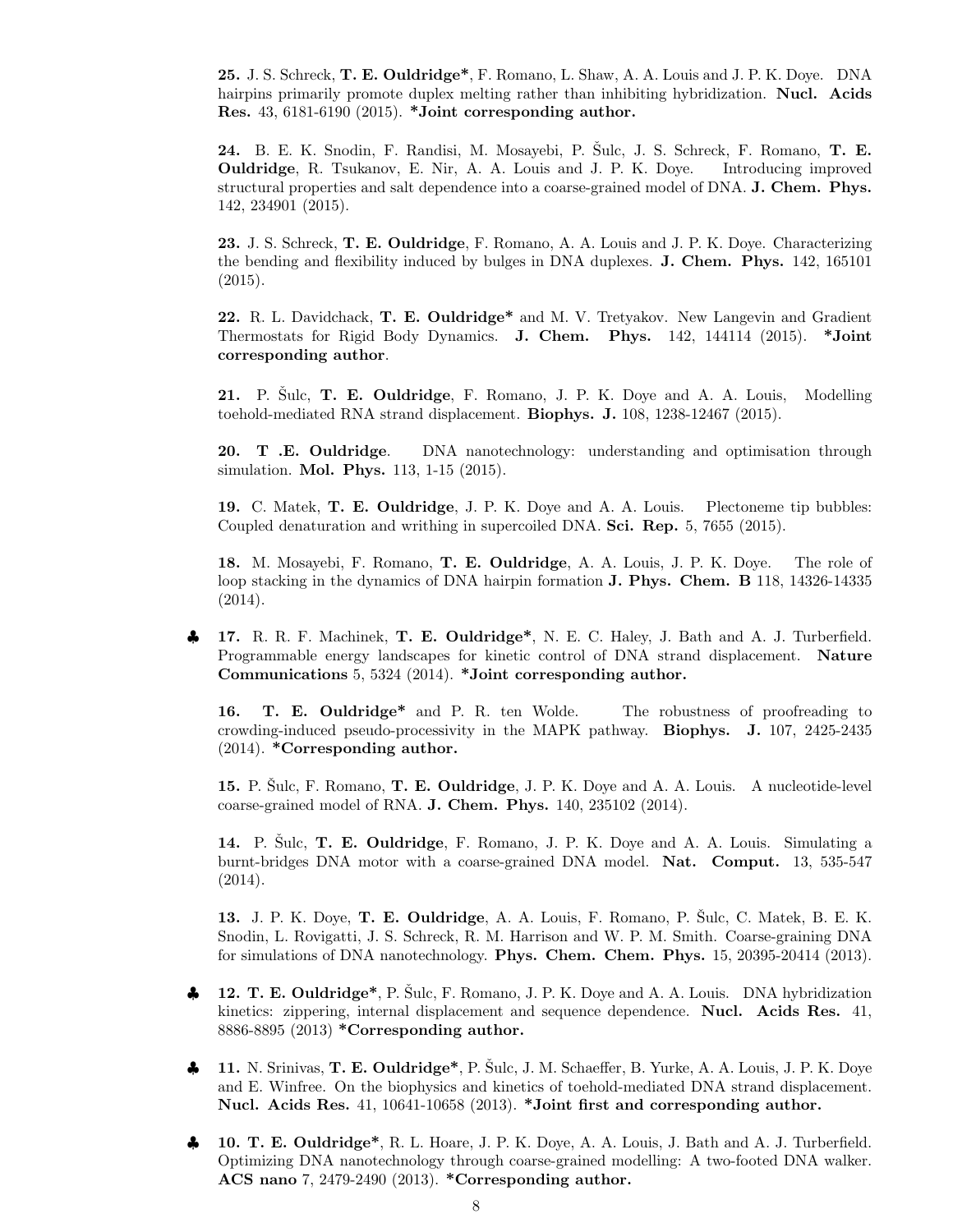25. J. S. Schreck, T. E. Ouldridge\*, F. Romano, L. Shaw, A. A. Louis and J. P. K. Doye. DNA hairpins primarily promote duplex melting rather than inhibiting hybridization. Nucl. Acids Res. 43, 6181-6190 (2015). \*Joint corresponding author.

24. B. E. K. Snodin, F. Randisi, M. Mosayebi, P. Sulc, J. S. Schreck, F. Romano, T. E. Ouldridge, R. Tsukanov, E. Nir, A. A. Louis and J. P. K. Doye. Introducing improved structural properties and salt dependence into a coarse-grained model of DNA. J. Chem. Phys. 142, 234901 (2015).

23. J. S. Schreck, T. E. Ouldridge, F. Romano, A. A. Louis and J. P. K. Doye. Characterizing the bending and flexibility induced by bulges in DNA duplexes. J. Chem. Phys. 142, 165101 (2015).

22. R. L. Davidchack, T. E. Ouldridge\* and M. V. Tretyakov. New Langevin and Gradient Thermostats for Rigid Body Dynamics. J. Chem. Phys. 142, 144114 (2015). \*Joint corresponding author.

21. P. Sulc, T. E. Ouldridge, F. Romano, J. P. K. Doye and A. A. Louis, Modelling toehold-mediated RNA strand displacement. Biophys. J. 108, 1238-12467 (2015).

20. T .E. Ouldridge. DNA nanotechnology: understanding and optimisation through simulation. Mol. Phys. 113, 1-15 (2015).

19. C. Matek, T. E. Ouldridge, J. P. K. Doye and A. A. Louis. Plectoneme tip bubbles: Coupled denaturation and writhing in supercoiled DNA. Sci. Rep. 5, 7655 (2015).

18. M. Mosayebi, F. Romano, T. E. Ouldridge, A. A. Louis, J. P. K. Doye. The role of loop stacking in the dynamics of DNA hairpin formation **J. Phys. Chem. B** 118, 14326-14335 (2014).

17. R. R. F. Machinek, T. E. Ouldridge<sup>\*</sup>, N. E. C. Haley, J. Bath and A. J. Turberfield. Programmable energy landscapes for kinetic control of DNA strand displacement. Nature Communications 5, 5324 (2014). \*Joint corresponding author.

16. T. E. Ouldridge\* and P. R. ten Wolde. The robustness of proofreading to crowding-induced pseudo-processivity in the MAPK pathway. Biophys. J. 107, 2425-2435 (2014). \*Corresponding author.

15. P. Šulc, F. Romano, T. E. Ouldridge, J. P. K. Doye and A. A. Louis. A nucleotide-level coarse-grained model of RNA. J. Chem. Phys. 140, 235102 (2014).

14. P. Sulc, T. E. Ouldridge, F. Romano, J. P. K. Doye and A. A. Louis. Simulating a burnt-bridges DNA motor with a coarse-grained DNA model. Nat. Comput. 13, 535-547 (2014).

13. J. P. K. Doye, T. E. Ouldridge, A. A. Louis, F. Romano, P. Sulc, C. Matek, B. E. K. Snodin, L. Rovigatti, J. S. Schreck, R. M. Harrison and W. P. M. Smith. Coarse-graining DNA for simulations of DNA nanotechnology. Phys. Chem. Chem. Phys. 15, 20395-20414 (2013).

- 12. T. E. Ouldridge<sup>\*</sup>, P. Šulc, F. Romano, J. P. K. Doye and A. A. Louis. DNA hybridization kinetics: zippering, internal displacement and sequence dependence. Nucl. Acids Res. 41, 8886-8895 (2013) \*Corresponding author.
- $\clubsuit$  11. N. Srinivas, T. E. Ouldridge<sup>\*</sup>, P. Šulc, J. M. Schaeffer, B. Yurke, A. A. Louis, J. P. K. Doye and E. Winfree. On the biophysics and kinetics of toehold-mediated DNA strand displacement. Nucl. Acids Res. 41, 10641-10658 (2013). \*Joint first and corresponding author.
- ♣ 10. T. E. Ouldridge\*, R. L. Hoare, J. P. K. Doye, A. A. Louis, J. Bath and A. J. Turberfield. Optimizing DNA nanotechnology through coarse-grained modelling: A two-footed DNA walker. ACS nano 7, 2479-2490 (2013). \*Corresponding author.